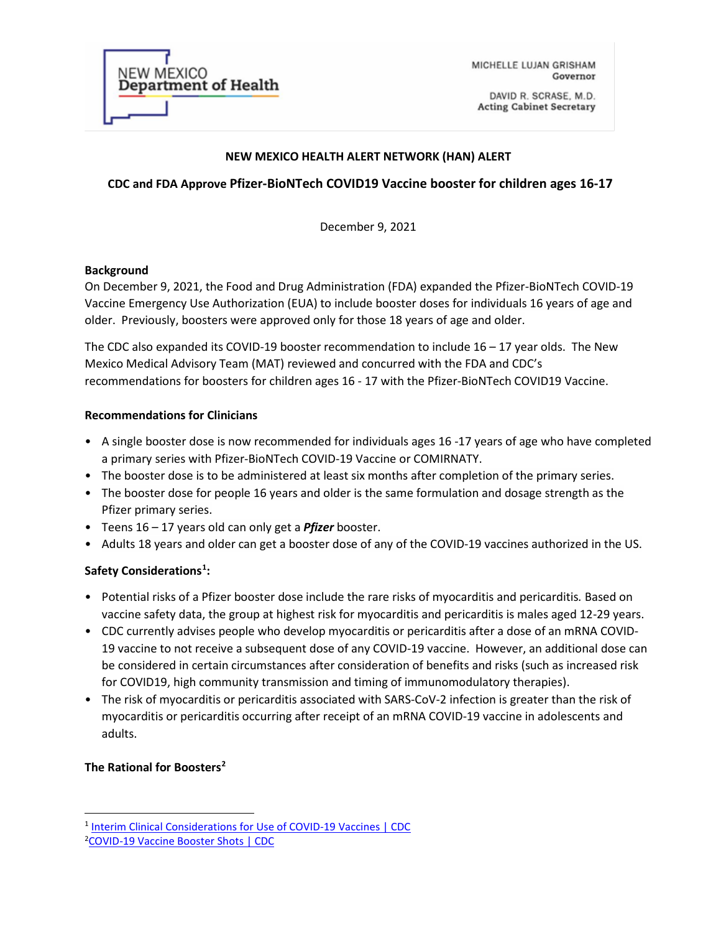

MICHELLE LUJAN GRISHAM Governor

DAVID R. SCRASE, M.D. **Acting Cabinet Secretary** 

#### **NEW MEXICO HEALTH ALERT NETWORK (HAN) ALERT**

# **CDC and FDA Approve Pfizer-BioNTech COVID19 Vaccine booster for children ages 16-17**

December 9, 2021

#### **Background**

On December 9, 2021, the Food and Drug Administration (FDA) expanded the Pfizer-BioNTech COVID-19 Vaccine Emergency Use Authorization (EUA) to include booster doses for individuals 16 years of age and older. Previously, boosters were approved only for those 18 years of age and older.

The CDC also expanded its COVID-19 booster recommendation to include  $16 - 17$  year olds. The New Mexico Medical Advisory Team (MAT) reviewed and concurred with the FDA and CDC's recommendations for boosters for children ages 16 - 17 with the Pfizer-BioNTech COVID19 Vaccine.

### **Recommendations for Clinicians**

- A single booster dose is now recommended for individuals ages 16 -17 years of age who have completed a primary series with Pfizer-BioNTech COVID-19 Vaccine or COMIRNATY.
- The booster dose is to be administered at least six months after completion of the primary series.
- The booster dose for people 16 years and older is the same formulation and dosage strength as the Pfizer primary series.
- Teens 16 17 years old can only get a *Pfizer* booster.
- Adults 18 years and older can get a booster dose of any of the COVID-19 vaccines authorized in the US.

# **Safety Considerations[1](#page-0-0) :**

- Potential risks of a Pfizer booster dose include the rare risks of myocarditis and pericarditis*.* Based on vaccine safety data, the group at highest risk for myocarditis and pericarditis is males aged 12-29 years.
- CDC currently advises people who develop myocarditis or pericarditis after a dose of an mRNA COVID-19 vaccine to not receive a subsequent dose of any COVID-19 vaccine. However, an additional dose can be considered in certain circumstances after consideration of benefits and risks (such as increased risk for COVID19, high community transmission and timing of immunomodulatory therapies).
- The risk of myocarditis or pericarditis associated with SARS-CoV-2 infection is greater than the risk of myocarditis or pericarditis occurring after receipt of an mRNA COVID-19 vaccine in adolescents and adults.

### **The Rational for Boosters[2](#page-0-1)**

<span id="page-0-0"></span><sup>&</sup>lt;sup>1</sup> [Interim Clinical Considerations for Use of COVID-19 Vaccines | CDC](https://www.cdc.gov/vaccines/covid-19/clinical-considerations/covid-19-vaccines-us.html#considerations-pfizer-biontech-moderna)

<span id="page-0-1"></span><sup>2</sup> [COVID-19 Vaccine Booster Shots | CDC](https://www.cdc.gov/coronavirus/2019-ncov/vaccines/booster-shot.html)